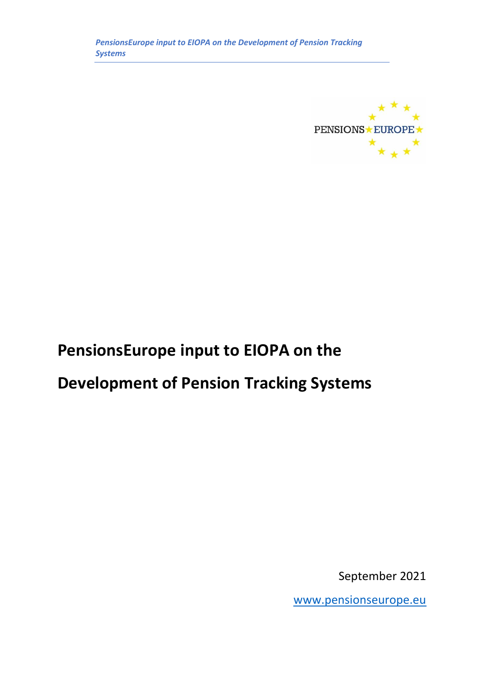

# **PensionsEurope input to EIOPA on the**

# **Development of Pension Tracking Systems**

September 2021

[www.pensionseurope.eu](http://www.pensionseurope.eu/)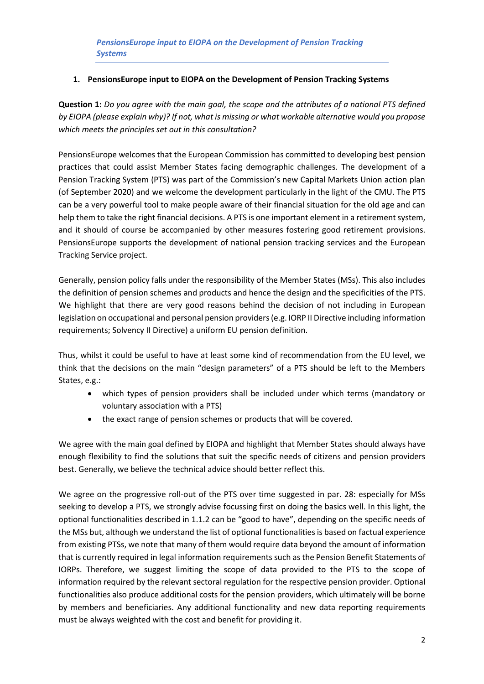## **1. PensionsEurope input to EIOPA on the Development of Pension Tracking Systems**

**Question 1:** *Do you agree with the main goal, the scope and the attributes of a national PTS defined by EIOPA (please explain why)? If not, what is missing or what workable alternative would you propose which meets the principles set out in this consultation?*

PensionsEurope welcomes that the European Commission has committed to developing best pension practices that could assist Member States facing demographic challenges. The development of a Pension Tracking System (PTS) was part of the Commission's new Capital Markets Union action plan (of September 2020) and we welcome the development particularly in the light of the CMU. The PTS can be a very powerful tool to make people aware of their financial situation for the old age and can help them to take the right financial decisions. A PTS is one important element in a retirement system, and it should of course be accompanied by other measures fostering good retirement provisions. PensionsEurope supports the development of national pension tracking services and the European Tracking Service project.

Generally, pension policy falls under the responsibility of the Member States (MSs). This also includes the definition of pension schemes and products and hence the design and the specificities of the PTS. We highlight that there are very good reasons behind the decision of not including in European legislation on occupational and personal pension providers (e.g. IORP II Directive including information requirements; Solvency II Directive) a uniform EU pension definition.

Thus, whilst it could be useful to have at least some kind of recommendation from the EU level, we think that the decisions on the main "design parameters" of a PTS should be left to the Members States, e.g.:

- which types of pension providers shall be included under which terms (mandatory or voluntary association with a PTS)
- the exact range of pension schemes or products that will be covered.

We agree with the main goal defined by EIOPA and highlight that Member States should always have enough flexibility to find the solutions that suit the specific needs of citizens and pension providers best. Generally, we believe the technical advice should better reflect this.

We agree on the progressive roll-out of the PTS over time suggested in par. 28: especially for MSs seeking to develop a PTS, we strongly advise focussing first on doing the basics well. In this light, the optional functionalities described in 1.1.2 can be "good to have", depending on the specific needs of the MSs but, although we understand the list of optional functionalities is based on factual experience from existing PTSs, we note that many of them would require data beyond the amount of information that is currently required in legal information requirements such as the Pension Benefit Statements of IORPs. Therefore, we suggest limiting the scope of data provided to the PTS to the scope of information required by the relevant sectoral regulation for the respective pension provider. Optional functionalities also produce additional costs for the pension providers, which ultimately will be borne by members and beneficiaries. Any additional functionality and new data reporting requirements must be always weighted with the cost and benefit for providing it.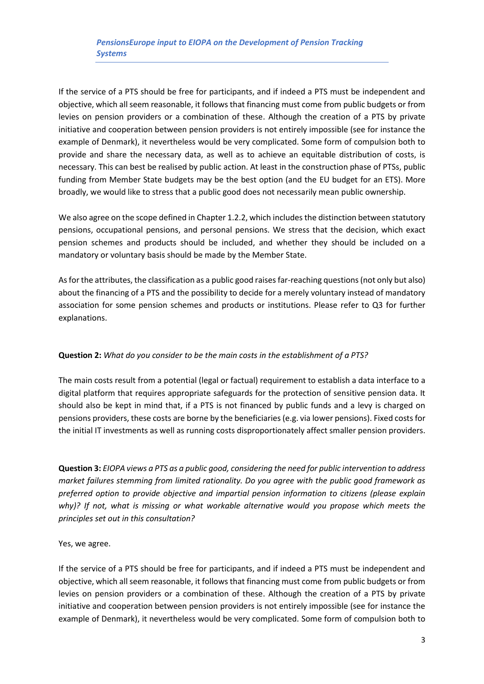If the service of a PTS should be free for participants, and if indeed a PTS must be independent and objective, which all seem reasonable, it follows that financing must come from public budgets or from levies on pension providers or a combination of these. Although the creation of a PTS by private initiative and cooperation between pension providers is not entirely impossible (see for instance the example of Denmark), it nevertheless would be very complicated. Some form of compulsion both to provide and share the necessary data, as well as to achieve an equitable distribution of costs, is necessary. This can best be realised by public action. At least in the construction phase of PTSs, public funding from Member State budgets may be the best option (and the EU budget for an ETS). More broadly, we would like to stress that a public good does not necessarily mean public ownership.

We also agree on the scope defined in Chapter 1.2.2, which includes the distinction between statutory pensions, occupational pensions, and personal pensions. We stress that the decision, which exact pension schemes and products should be included, and whether they should be included on a mandatory or voluntary basis should be made by the Member State.

As for the attributes, the classification as a public good raises far-reaching questions (not only but also) about the financing of a PTS and the possibility to decide for a merely voluntary instead of mandatory association for some pension schemes and products or institutions. Please refer to Q3 for further explanations.

# **Question 2:** *What do you consider to be the main costs in the establishment of a PTS?*

The main costs result from a potential (legal or factual) requirement to establish a data interface to a digital platform that requires appropriate safeguards for the protection of sensitive pension data. It should also be kept in mind that, if a PTS is not financed by public funds and a levy is charged on pensions providers, these costs are borne by the beneficiaries (e.g. via lower pensions). Fixed costs for the initial IT investments as well as running costs disproportionately affect smaller pension providers.

**Question 3:** *EIOPA views a PTS as a public good, considering the need for public intervention to address market failures stemming from limited rationality. Do you agree with the public good framework as preferred option to provide objective and impartial pension information to citizens (please explain why)? If not, what is missing or what workable alternative would you propose which meets the principles set out in this consultation?*

#### Yes, we agree.

If the service of a PTS should be free for participants, and if indeed a PTS must be independent and objective, which all seem reasonable, it follows that financing must come from public budgets or from levies on pension providers or a combination of these. Although the creation of a PTS by private initiative and cooperation between pension providers is not entirely impossible (see for instance the example of Denmark), it nevertheless would be very complicated. Some form of compulsion both to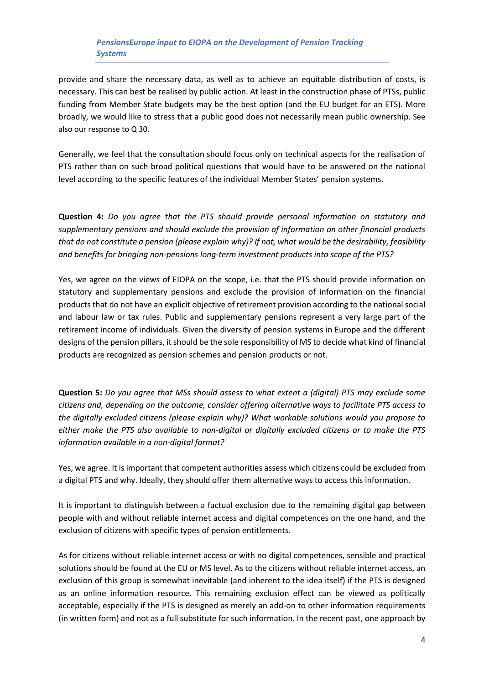provide and share the necessary data, as well as to achieve an equitable distribution of costs, is necessary. This can best be realised by public action. At least in the construction phase of PTSs, public funding from Member State budgets may be the best option (and the EU budget for an ETS). More broadly, we would like to stress that a public good does not necessarily mean public ownership. See also our response to Q 30.

Generally, we feel that the consultation should focus only on technical aspects for the realisation of PTS rather than on such broad political questions that would have to be answered on the national level according to the specific features of the individual Member States' pension systems.

**Question 4:** *Do you agree that the PTS should provide personal information on statutory and supplementary pensions and should exclude the provision of information on other financial products that do not constitute a pension (please explain why)? If not, what would be the desirability, feasibility and benefits for bringing non-pensions long-term investment products into scope of the PTS?*

Yes, we agree on the views of EIOPA on the scope, i.e. that the PTS should provide information on statutory and supplementary pensions and exclude the provision of information on the financial products that do not have an explicit objective of retirement provision according to the national social and labour law or tax rules. Public and supplementary pensions represent a very large part of the retirement income of individuals. Given the diversity of pension systems in Europe and the different designs of the pension pillars, it should be the sole responsibility of MS to decide what kind of financial products are recognized as pension schemes and pension products or not.

**Question 5:** *Do you agree that MSs should assess to what extent a (digital) PTS may exclude some citizens and, depending on the outcome, consider offering alternative ways to facilitate PTS access to the digitally excluded citizens (please explain why)? What workable solutions would you propose to either make the PTS also available to non-digital or digitally excluded citizens or to make the PTS information available in a non-digital format?*

Yes, we agree. It is important that competent authorities assess which citizens could be excluded from a digital PTS and why. Ideally, they should offer them alternative ways to access this information.

It is important to distinguish between a factual exclusion due to the remaining digital gap between people with and without reliable internet access and digital competences on the one hand, and the exclusion of citizens with specific types of pension entitlements.

As for citizens without reliable internet access or with no digital competences, sensible and practical solutions should be found at the EU or MS level. As to the citizens without reliable internet access, an exclusion of this group is somewhat inevitable (and inherent to the idea itself) if the PTS is designed as an online information resource. This remaining exclusion effect can be viewed as politically acceptable, especially if the PTS is designed as merely an add-on to other information requirements (in written form) and not as a full substitute for such information. In the recent past, one approach by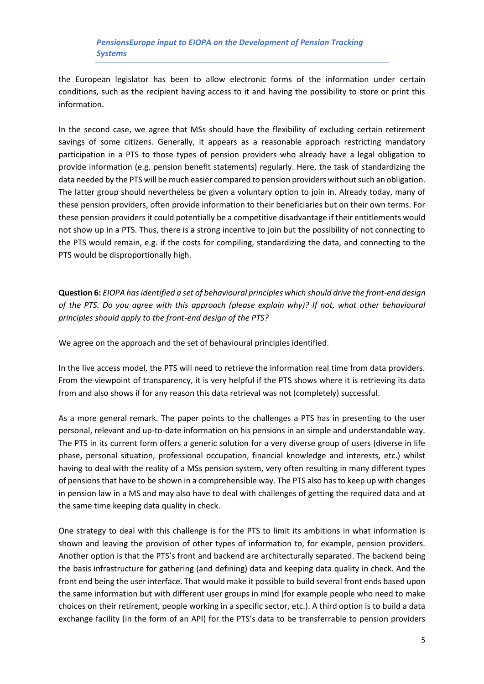the European legislator has been to allow electronic forms of the information under certain conditions, such as the recipient having access to it and having the possibility to store or print this information.

In the second case, we agree that MSs should have the flexibility of excluding certain retirement savings of some citizens. Generally, it appears as a reasonable approach restricting mandatory participation in a PTS to those types of pension providers who already have a legal obligation to provide information (e.g. pension benefit statements) regularly. Here, the task of standardizing the data needed by the PTS will be much easier compared to pension providers without such an obligation. The latter group should nevertheless be given a voluntary option to join in. Already today, many of these pension providers, often provide information to their beneficiaries but on their own terms. For these pension providers it could potentially be a competitive disadvantage if their entitlements would not show up in a PTS. Thus, there is a strong incentive to join but the possibility of not connecting to the PTS would remain, e.g. if the costs for compiling, standardizing the data, and connecting to the PTS would be disproportionally high.

**Question 6:** *EIOPA has identified a set of behavioural principles which should drive the front-end design of the PTS. Do you agree with this approach (please explain why)? If not, what other behavioural principles should apply to the front-end design of the PTS?*

We agree on the approach and the set of behavioural principles identified.

In the live access model, the PTS will need to retrieve the information real time from data providers. From the viewpoint of transparency, it is very helpful if the PTS shows where it is retrieving its data from and also shows if for any reason this data retrieval was not (completely) successful.

As a more general remark. The paper points to the challenges a PTS has in presenting to the user personal, relevant and up-to-date information on his pensions in an simple and understandable way. The PTS in its current form offers a generic solution for a very diverse group of users (diverse in life phase, personal situation, professional occupation, financial knowledge and interests, etc.) whilst having to deal with the reality of a MSs pension system, very often resulting in many different types of pensions that have to be shown in a comprehensible way. The PTS also has to keep up with changes in pension law in a MS and may also have to deal with challenges of getting the required data and at the same time keeping data quality in check.

One strategy to deal with this challenge is for the PTS to limit its ambitions in what information is shown and leaving the provision of other types of information to, for example, pension providers. Another option is that the PTS's front and backend are architecturally separated. The backend being the basis infrastructure for gathering (and defining) data and keeping data quality in check. And the front end being the user interface. That would make it possible to build several front ends based upon the same information but with different user groups in mind (for example people who need to make choices on their retirement, people working in a specific sector, etc.). A third option is to build a data exchange facility (in the form of an API) for the PTS's data to be transferrable to pension providers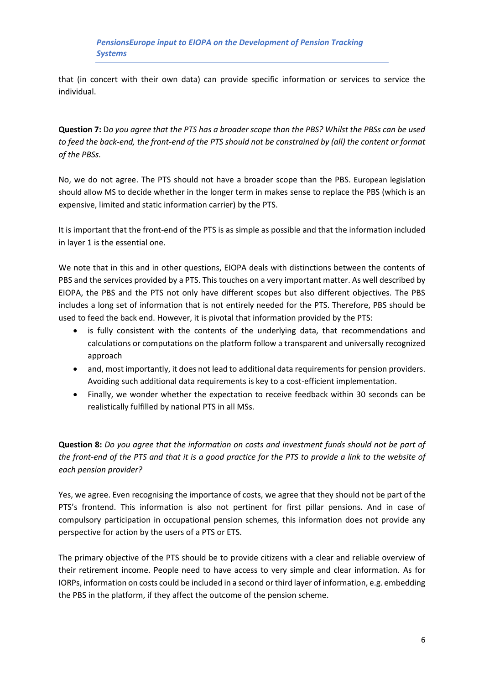that (in concert with their own data) can provide specific information or services to service the individual.

**Question 7:** D*o you agree that the PTS has a broader scope than the PBS? Whilst the PBSs can be used to feed the back-end, the front-end of the PTS should not be constrained by (all) the content or format of the PBSs.*

No, we do not agree. The PTS should not have a broader scope than the PBS. European legislation should allow MS to decide whether in the longer term in makes sense to replace the PBS (which is an expensive, limited and static information carrier) by the PTS.

It is important that the front-end of the PTS is as simple as possible and that the information included in layer 1 is the essential one.

We note that in this and in other questions, EIOPA deals with distinctions between the contents of PBS and the services provided by a PTS. This touches on a very important matter. As well described by EIOPA, the PBS and the PTS not only have different scopes but also different objectives. The PBS includes a long set of information that is not entirely needed for the PTS. Therefore, PBS should be used to feed the back end. However, it is pivotal that information provided by the PTS:

- is fully consistent with the contents of the underlying data, that recommendations and calculations or computations on the platform follow a transparent and universally recognized approach
- and, most importantly, it does not lead to additional data requirements for pension providers. Avoiding such additional data requirements is key to a cost-efficient implementation.
- Finally, we wonder whether the expectation to receive feedback within 30 seconds can be realistically fulfilled by national PTS in all MSs.

**Question 8:** *Do you agree that the information on costs and investment funds should not be part of the front-end of the PTS and that it is a good practice for the PTS to provide a link to the website of each pension provider?*

Yes, we agree. Even recognising the importance of costs, we agree that they should not be part of the PTS's frontend. This information is also not pertinent for first pillar pensions. And in case of compulsory participation in occupational pension schemes, this information does not provide any perspective for action by the users of a PTS or ETS.

The primary objective of the PTS should be to provide citizens with a clear and reliable overview of their retirement income. People need to have access to very simple and clear information. As for IORPs, information on costs could be included in a second or third layer of information, e.g. embedding the PBS in the platform, if they affect the outcome of the pension scheme.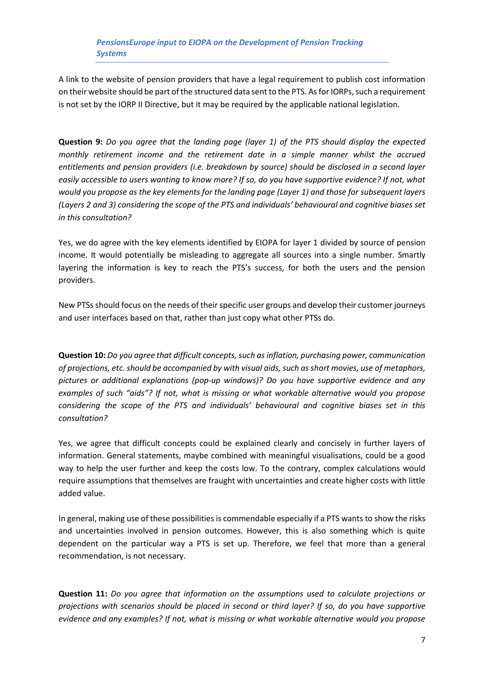A link to the website of pension providers that have a legal requirement to publish cost information on their website should be part of the structured data sent to the PTS. As for IORPs, such a requirement is not set by the IORP II Directive, but it may be required by the applicable national legislation.

**Question 9:** *Do you agree that the landing page (layer 1) of the PTS should display the expected monthly retirement income and the retirement date in a simple manner whilst the accrued entitlements and pension providers (i.e. breakdown by source) should be disclosed in a second layer easily accessible to users wanting to know more? If so, do you have supportive evidence? If not, what would you propose as the key elements for the landing page (Layer 1) and those for subsequent layers (Layers 2 and 3) considering the scope of the PTS and individuals' behavioural and cognitive biases set in this consultation?*

Yes, we do agree with the key elements identified by EIOPA for layer 1 divided by source of pension income. It would potentially be misleading to aggregate all sources into a single number. Smartly layering the information is key to reach the PTS's success, for both the users and the pension providers.

New PTSs should focus on the needs of their specific user groups and develop their customer journeys and user interfaces based on that, rather than just copy what other PTSs do.

**Question 10:** *Do you agree that difficult concepts, such as inflation, purchasing power, communication of projections, etc. should be accompanied by with visual aids, such as short movies, use of metaphors, pictures or additional explanations (pop-up windows)? Do you have supportive evidence and any examples of such "aids"? If not, what is missing or what workable alternative would you propose considering the scope of the PTS and individuals' behavioural and cognitive biases set in this consultation?*

Yes, we agree that difficult concepts could be explained clearly and concisely in further layers of information. General statements, maybe combined with meaningful visualisations, could be a good way to help the user further and keep the costs low. To the contrary, complex calculations would require assumptions that themselves are fraught with uncertainties and create higher costs with little added value.

In general, making use of these possibilities is commendable especially if a PTS wants to show the risks and uncertainties involved in pension outcomes. However, this is also something which is quite dependent on the particular way a PTS is set up. Therefore, we feel that more than a general recommendation, is not necessary.

**Question 11:** *Do you agree that information on the assumptions used to calculate projections or projections with scenarios should be placed in second or third layer? If so, do you have supportive evidence and any examples? If not, what is missing or what workable alternative would you propose*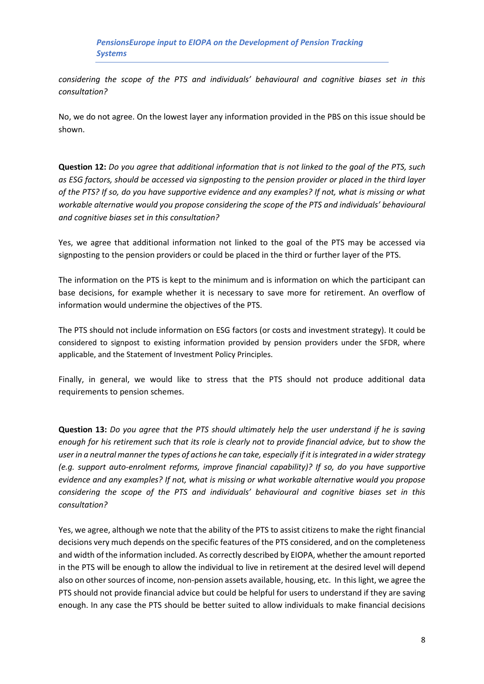*considering the scope of the PTS and individuals' behavioural and cognitive biases set in this consultation?*

No, we do not agree. On the lowest layer any information provided in the PBS on this issue should be shown.

**Question 12:** *Do you agree that additional information that is not linked to the goal of the PTS, such as ESG factors, should be accessed via signposting to the pension provider or placed in the third layer of the PTS? If so, do you have supportive evidence and any examples? If not, what is missing or what workable alternative would you propose considering the scope of the PTS and individuals' behavioural and cognitive biases set in this consultation?*

Yes, we agree that additional information not linked to the goal of the PTS may be accessed via signposting to the pension providers or could be placed in the third or further layer of the PTS.

The information on the PTS is kept to the minimum and is information on which the participant can base decisions, for example whether it is necessary to save more for retirement. An overflow of information would undermine the objectives of the PTS.

The PTS should not include information on ESG factors (or costs and investment strategy). It could be considered to signpost to existing information provided by pension providers under the SFDR, where applicable, and the Statement of Investment Policy Principles.

Finally, in general, we would like to stress that the PTS should not produce additional data requirements to pension schemes.

**Question 13:** *Do you agree that the PTS should ultimately help the user understand if he is saving enough for his retirement such that its role is clearly not to provide financial advice, but to show the user in a neutral manner the types of actions he can take, especially if it is integrated in a wider strategy (e.g. support auto-enrolment reforms, improve financial capability)? If so, do you have supportive evidence and any examples? If not, what is missing or what workable alternative would you propose considering the scope of the PTS and individuals' behavioural and cognitive biases set in this consultation?*

Yes, we agree, although we note that the ability of the PTS to assist citizens to make the right financial decisions very much depends on the specific features of the PTS considered, and on the completeness and width of the information included. As correctly described by EIOPA, whether the amount reported in the PTS will be enough to allow the individual to live in retirement at the desired level will depend also on other sources of income, non-pension assets available, housing, etc. In this light, we agree the PTS should not provide financial advice but could be helpful for users to understand if they are saving enough. In any case the PTS should be better suited to allow individuals to make financial decisions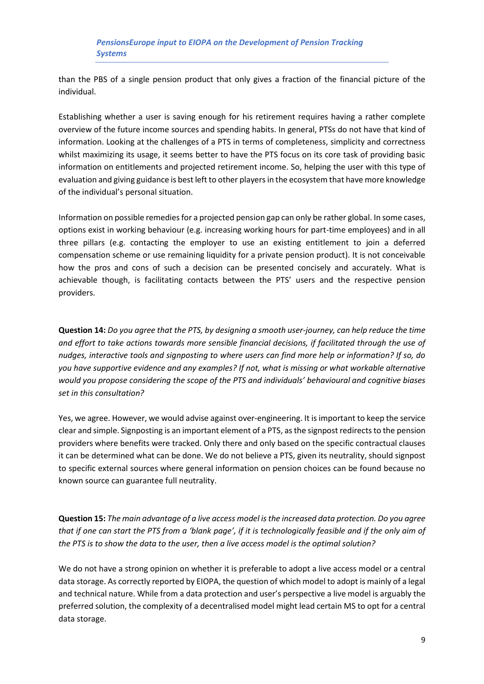than the PBS of a single pension product that only gives a fraction of the financial picture of the individual.

Establishing whether a user is saving enough for his retirement requires having a rather complete overview of the future income sources and spending habits. In general, PTSs do not have that kind of information. Looking at the challenges of a PTS in terms of completeness, simplicity and correctness whilst maximizing its usage, it seems better to have the PTS focus on its core task of providing basic information on entitlements and projected retirement income. So, helping the user with this type of evaluation and giving guidance is best left to other players in the ecosystem that have more knowledge of the individual's personal situation.

Information on possible remedies for a projected pension gap can only be rather global. In some cases, options exist in working behaviour (e.g. increasing working hours for part-time employees) and in all three pillars (e.g. contacting the employer to use an existing entitlement to join a deferred compensation scheme or use remaining liquidity for a private pension product). It is not conceivable how the pros and cons of such a decision can be presented concisely and accurately. What is achievable though, is facilitating contacts between the PTS' users and the respective pension providers.

**Question 14:** *Do you agree that the PTS, by designing a smooth user-journey, can help reduce the time and effort to take actions towards more sensible financial decisions, if facilitated through the use of nudges, interactive tools and signposting to where users can find more help or information? If so, do you have supportive evidence and any examples? If not, what is missing or what workable alternative would you propose considering the scope of the PTS and individuals' behavioural and cognitive biases set in this consultation?*

Yes, we agree. However, we would advise against over-engineering. It is important to keep the service clear and simple. Signposting is an important element of a PTS, as the signpost redirects to the pension providers where benefits were tracked. Only there and only based on the specific contractual clauses it can be determined what can be done. We do not believe a PTS, given its neutrality, should signpost to specific external sources where general information on pension choices can be found because no known source can guarantee full neutrality.

**Question 15:** *The main advantage of a live access model is the increased data protection. Do you agree that if one can start the PTS from a 'blank page', if it is technologically feasible and if the only aim of the PTS is to show the data to the user, then a live access model is the optimal solution?*

We do not have a strong opinion on whether it is preferable to adopt a live access model or a central data storage. As correctly reported by EIOPA, the question of which model to adopt is mainly of a legal and technical nature. While from a data protection and user's perspective a live model is arguably the preferred solution, the complexity of a decentralised model might lead certain MS to opt for a central data storage.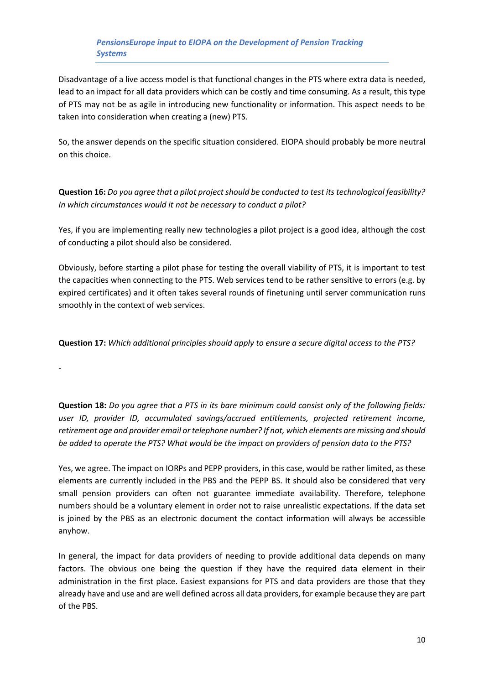Disadvantage of a live access model is that functional changes in the PTS where extra data is needed, lead to an impact for all data providers which can be costly and time consuming. As a result, this type of PTS may not be as agile in introducing new functionality or information. This aspect needs to be taken into consideration when creating a (new) PTS.

So, the answer depends on the specific situation considered. EIOPA should probably be more neutral on this choice.

**Question 16:** *Do you agree that a pilot project should be conducted to test its technological feasibility? In which circumstances would it not be necessary to conduct a pilot?*

Yes, if you are implementing really new technologies a pilot project is a good idea, although the cost of conducting a pilot should also be considered.

Obviously, before starting a pilot phase for testing the overall viability of PTS, it is important to test the capacities when connecting to the PTS. Web services tend to be rather sensitive to errors (e.g. by expired certificates) and it often takes several rounds of finetuning until server communication runs smoothly in the context of web services.

**Question 17:** *Which additional principles should apply to ensure a secure digital access to the PTS?*

-

**Question 18:** *Do you agree that a PTS in its bare minimum could consist only of the following fields: user ID, provider ID, accumulated savings/accrued entitlements, projected retirement income, retirement age and provider email or telephone number? If not, which elements are missing and should be added to operate the PTS? What would be the impact on providers of pension data to the PTS?*

Yes, we agree. The impact on IORPs and PEPP providers, in this case, would be rather limited, as these elements are currently included in the PBS and the PEPP BS. It should also be considered that very small pension providers can often not guarantee immediate availability. Therefore, telephone numbers should be a voluntary element in order not to raise unrealistic expectations. If the data set is joined by the PBS as an electronic document the contact information will always be accessible anyhow.

In general, the impact for data providers of needing to provide additional data depends on many factors. The obvious one being the question if they have the required data element in their administration in the first place. Easiest expansions for PTS and data providers are those that they already have and use and are well defined across all data providers, for example because they are part of the PBS.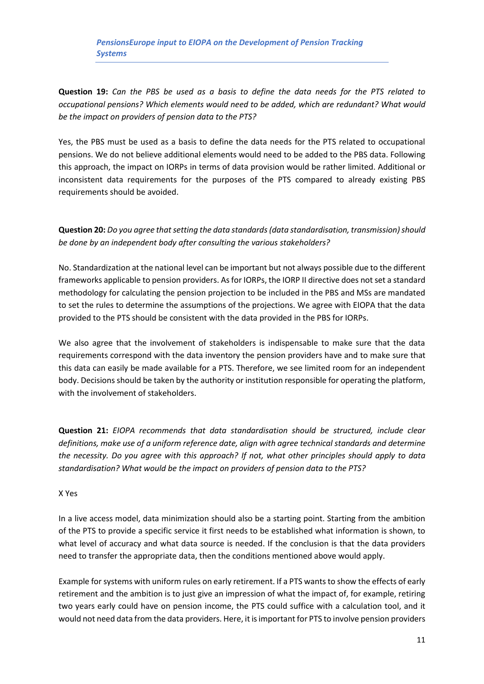**Question 19:** *Can the PBS be used as a basis to define the data needs for the PTS related to occupational pensions? Which elements would need to be added, which are redundant? What would be the impact on providers of pension data to the PTS?*

Yes, the PBS must be used as a basis to define the data needs for the PTS related to occupational pensions. We do not believe additional elements would need to be added to the PBS data. Following this approach, the impact on IORPs in terms of data provision would be rather limited. Additional or inconsistent data requirements for the purposes of the PTS compared to already existing PBS requirements should be avoided.

**Question 20:** *Do you agree that setting the data standards (data standardisation, transmission) should be done by an independent body after consulting the various stakeholders?*

No. Standardization at the national level can be important but not always possible due to the different frameworks applicable to pension providers. As for IORPs, the IORP II directive does not set a standard methodology for calculating the pension projection to be included in the PBS and MSs are mandated to set the rules to determine the assumptions of the projections. We agree with EIOPA that the data provided to the PTS should be consistent with the data provided in the PBS for IORPs.

We also agree that the involvement of stakeholders is indispensable to make sure that the data requirements correspond with the data inventory the pension providers have and to make sure that this data can easily be made available for a PTS. Therefore, we see limited room for an independent body. Decisions should be taken by the authority or institution responsible for operating the platform, with the involvement of stakeholders.

**Question 21:** *EIOPA recommends that data standardisation should be structured, include clear definitions, make use of a uniform reference date, align with agree technical standards and determine the necessity. Do you agree with this approach? If not, what other principles should apply to data standardisation? What would be the impact on providers of pension data to the PTS?*

#### X Yes

In a live access model, data minimization should also be a starting point. Starting from the ambition of the PTS to provide a specific service it first needs to be established what information is shown, to what level of accuracy and what data source is needed. If the conclusion is that the data providers need to transfer the appropriate data, then the conditions mentioned above would apply.

Example for systems with uniform rules on early retirement. If a PTS wants to show the effects of early retirement and the ambition is to just give an impression of what the impact of, for example, retiring two years early could have on pension income, the PTS could suffice with a calculation tool, and it would not need data from the data providers. Here, it is important for PTS to involve pension providers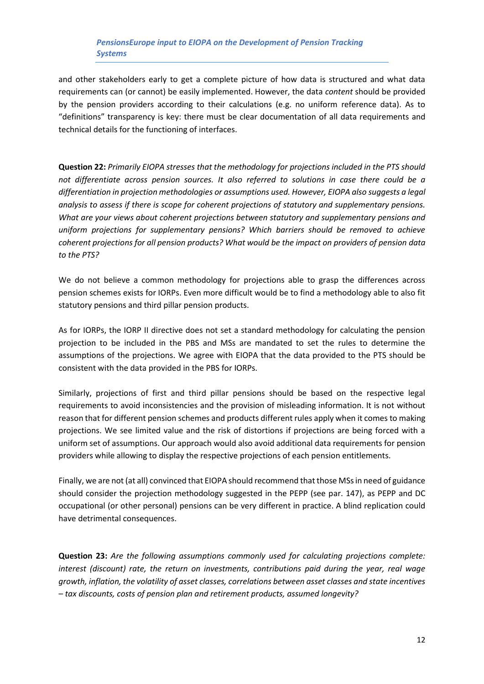and other stakeholders early to get a complete picture of how data is structured and what data requirements can (or cannot) be easily implemented. However, the data *content* should be provided by the pension providers according to their calculations (e.g. no uniform reference data). As to "definitions" transparency is key: there must be clear documentation of all data requirements and technical details for the functioning of interfaces.

**Question 22:** *Primarily EIOPA stresses that the methodology for projections included in the PTS should not differentiate across pension sources. It also referred to solutions in case there could be a differentiation in projection methodologies or assumptions used. However, EIOPA also suggests a legal analysis to assess if there is scope for coherent projections of statutory and supplementary pensions. What are your views about coherent projections between statutory and supplementary pensions and uniform projections for supplementary pensions? Which barriers should be removed to achieve coherent projections for all pension products? What would be the impact on providers of pension data to the PTS?*

We do not believe a common methodology for projections able to grasp the differences across pension schemes exists for IORPs. Even more difficult would be to find a methodology able to also fit statutory pensions and third pillar pension products.

As for IORPs, the IORP II directive does not set a standard methodology for calculating the pension projection to be included in the PBS and MSs are mandated to set the rules to determine the assumptions of the projections. We agree with EIOPA that the data provided to the PTS should be consistent with the data provided in the PBS for IORPs.

Similarly, projections of first and third pillar pensions should be based on the respective legal requirements to avoid inconsistencies and the provision of misleading information. It is not without reason that for different pension schemes and products different rules apply when it comes to making projections. We see limited value and the risk of distortions if projections are being forced with a uniform set of assumptions. Our approach would also avoid additional data requirements for pension providers while allowing to display the respective projections of each pension entitlements.

Finally, we are not (at all) convinced that EIOPA should recommend that those MSs in need of guidance should consider the projection methodology suggested in the PEPP (see par. 147), as PEPP and DC occupational (or other personal) pensions can be very different in practice. A blind replication could have detrimental consequences.

**Question 23:** *Are the following assumptions commonly used for calculating projections complete: interest (discount) rate, the return on investments, contributions paid during the year, real wage growth, inflation, the volatility of asset classes, correlations between asset classes and state incentives – tax discounts, costs of pension plan and retirement products, assumed longevity?*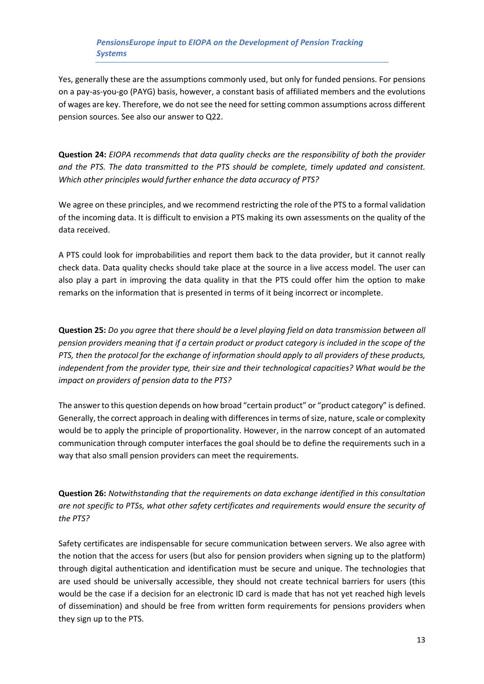Yes, generally these are the assumptions commonly used, but only for funded pensions. For pensions on a pay-as-you-go (PAYG) basis, however, a constant basis of affiliated members and the evolutions of wages are key. Therefore, we do not see the need for setting common assumptions across different pension sources. See also our answer to Q22.

**Question 24:** *EIOPA recommends that data quality checks are the responsibility of both the provider and the PTS. The data transmitted to the PTS should be complete, timely updated and consistent. Which other principles would further enhance the data accuracy of PTS?*

We agree on these principles, and we recommend restricting the role of the PTS to a formal validation of the incoming data. It is difficult to envision a PTS making its own assessments on the quality of the data received.

A PTS could look for improbabilities and report them back to the data provider, but it cannot really check data. Data quality checks should take place at the source in a live access model. The user can also play a part in improving the data quality in that the PTS could offer him the option to make remarks on the information that is presented in terms of it being incorrect or incomplete.

**Question 25:** *Do you agree that there should be a level playing field on data transmission between all pension providers meaning that if a certain product or product category is included in the scope of the PTS, then the protocol for the exchange of information should apply to all providers of these products, independent from the provider type, their size and their technological capacities? What would be the impact on providers of pension data to the PTS?*

The answer to this question depends on how broad "certain product" or "product category" is defined. Generally, the correct approach in dealing with differences in terms of size, nature, scale or complexity would be to apply the principle of proportionality. However, in the narrow concept of an automated communication through computer interfaces the goal should be to define the requirements such in a way that also small pension providers can meet the requirements.

**Question 26:** *Notwithstanding that the requirements on data exchange identified in this consultation are not specific to PTSs, what other safety certificates and requirements would ensure the security of the PTS?*

Safety certificates are indispensable for secure communication between servers. We also agree with the notion that the access for users (but also for pension providers when signing up to the platform) through digital authentication and identification must be secure and unique. The technologies that are used should be universally accessible, they should not create technical barriers for users (this would be the case if a decision for an electronic ID card is made that has not yet reached high levels of dissemination) and should be free from written form requirements for pensions providers when they sign up to the PTS.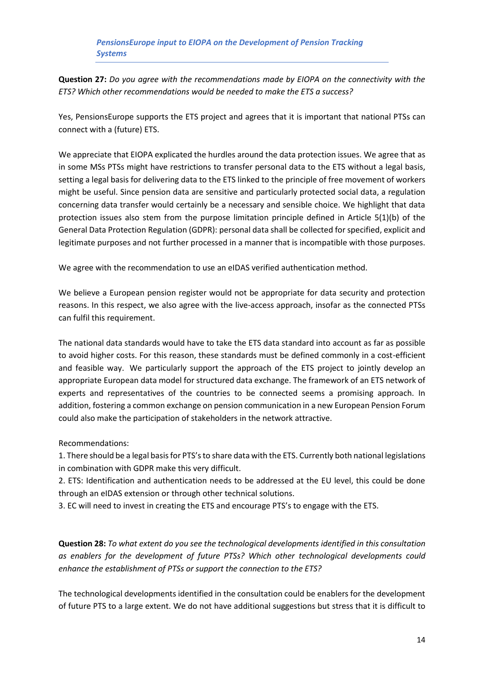**Question 27:** *Do you agree with the recommendations made by EIOPA on the connectivity with the ETS? Which other recommendations would be needed to make the ETS a success?*

Yes, PensionsEurope supports the ETS project and agrees that it is important that national PTSs can connect with a (future) ETS.

We appreciate that EIOPA explicated the hurdles around the data protection issues. We agree that as in some MSs PTSs might have restrictions to transfer personal data to the ETS without a legal basis, setting a legal basis for delivering data to the ETS linked to the principle of free movement of workers might be useful. Since pension data are sensitive and particularly protected social data, a regulation concerning data transfer would certainly be a necessary and sensible choice. We highlight that data protection issues also stem from the purpose limitation principle defined in Article 5(1)(b) of the General Data Protection Regulation (GDPR): personal data shall be collected for specified, explicit and legitimate purposes and not further processed in a manner that is incompatible with those purposes.

We agree with the recommendation to use an eIDAS verified authentication method.

We believe a European pension register would not be appropriate for data security and protection reasons. In this respect, we also agree with the live-access approach, insofar as the connected PTSs can fulfil this requirement.

The national data standards would have to take the ETS data standard into account as far as possible to avoid higher costs. For this reason, these standards must be defined commonly in a cost-efficient and feasible way. We particularly support the approach of the ETS project to jointly develop an appropriate European data model for structured data exchange. The framework of an ETS network of experts and representatives of the countries to be connected seems a promising approach. In addition, fostering a common exchange on pension communication in a new European Pension Forum could also make the participation of stakeholders in the network attractive.

Recommendations:

1. There should be a legal basis for PTS's to share data with the ETS. Currently both national legislations in combination with GDPR make this very difficult.

2. ETS: Identification and authentication needs to be addressed at the EU level, this could be done through an eIDAS extension or through other technical solutions.

3. EC will need to invest in creating the ETS and encourage PTS's to engage with the ETS.

**Question 28:** *To what extent do you see the technological developments identified in this consultation as enablers for the development of future PTSs? Which other technological developments could enhance the establishment of PTSs or support the connection to the ETS?*

The technological developments identified in the consultation could be enablers for the development of future PTS to a large extent. We do not have additional suggestions but stress that it is difficult to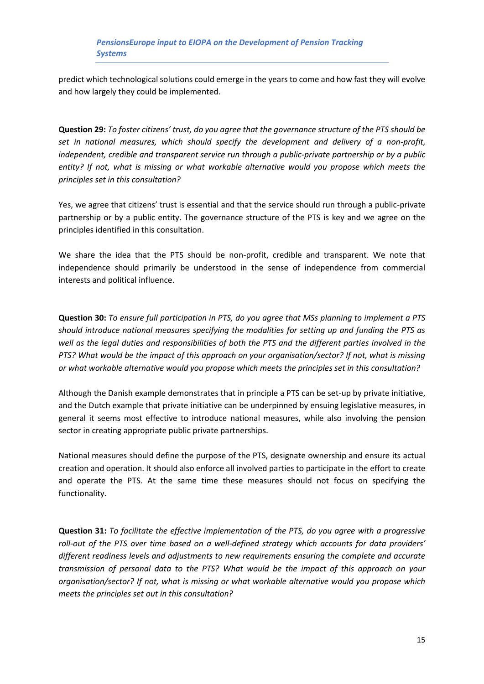predict which technological solutions could emerge in the years to come and how fast they will evolve and how largely they could be implemented.

**Question 29:** *To foster citizens' trust, do you agree that the governance structure of the PTS should be set in national measures, which should specify the development and delivery of a non-profit, independent, credible and transparent service run through a public-private partnership or by a public entity? If not, what is missing or what workable alternative would you propose which meets the principles set in this consultation?*

Yes, we agree that citizens' trust is essential and that the service should run through a public-private partnership or by a public entity. The governance structure of the PTS is key and we agree on the principles identified in this consultation.

We share the idea that the PTS should be non-profit, credible and transparent. We note that independence should primarily be understood in the sense of independence from commercial interests and political influence.

**Question 30:** *To ensure full participation in PTS, do you agree that MSs planning to implement a PTS should introduce national measures specifying the modalities for setting up and funding the PTS as well as the legal duties and responsibilities of both the PTS and the different parties involved in the PTS? What would be the impact of this approach on your organisation/sector? If not, what is missing or what workable alternative would you propose which meets the principles set in this consultation?*

Although the Danish example demonstrates that in principle a PTS can be set-up by private initiative, and the Dutch example that private initiative can be underpinned by ensuing legislative measures, in general it seems most effective to introduce national measures, while also involving the pension sector in creating appropriate public private partnerships.

National measures should define the purpose of the PTS, designate ownership and ensure its actual creation and operation. It should also enforce all involved parties to participate in the effort to create and operate the PTS. At the same time these measures should not focus on specifying the functionality.

**Question 31:** *To facilitate the effective implementation of the PTS, do you agree with a progressive roll-out of the PTS over time based on a well-defined strategy which accounts for data providers' different readiness levels and adjustments to new requirements ensuring the complete and accurate transmission of personal data to the PTS? What would be the impact of this approach on your organisation/sector? If not, what is missing or what workable alternative would you propose which meets the principles set out in this consultation?*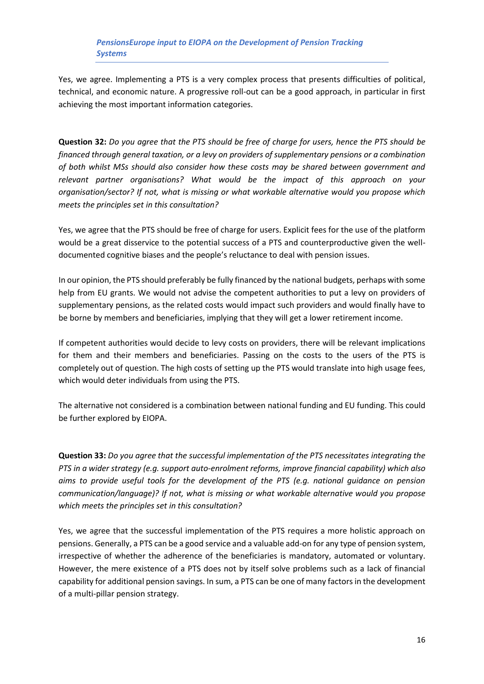Yes, we agree. Implementing a PTS is a very complex process that presents difficulties of political, technical, and economic nature. A progressive roll-out can be a good approach, in particular in first achieving the most important information categories.

**Question 32:** *Do you agree that the PTS should be free of charge for users, hence the PTS should be financed through general taxation, or a levy on providers of supplementary pensions or a combination of both whilst MSs should also consider how these costs may be shared between government and relevant partner organisations? What would be the impact of this approach on your organisation/sector? If not, what is missing or what workable alternative would you propose which meets the principles set in this consultation?*

Yes, we agree that the PTS should be free of charge for users. Explicit fees for the use of the platform would be a great disservice to the potential success of a PTS and counterproductive given the welldocumented cognitive biases and the people's reluctance to deal with pension issues.

In our opinion, the PTS should preferably be fully financed by the national budgets, perhaps with some help from EU grants. We would not advise the competent authorities to put a levy on providers of supplementary pensions, as the related costs would impact such providers and would finally have to be borne by members and beneficiaries, implying that they will get a lower retirement income.

If competent authorities would decide to levy costs on providers, there will be relevant implications for them and their members and beneficiaries. Passing on the costs to the users of the PTS is completely out of question. The high costs of setting up the PTS would translate into high usage fees, which would deter individuals from using the PTS.

The alternative not considered is a combination between national funding and EU funding. This could be further explored by EIOPA.

**Question 33:** *Do you agree that the successful implementation of the PTS necessitates integrating the PTS in a wider strategy (e.g. support auto-enrolment reforms, improve financial capability) which also aims to provide useful tools for the development of the PTS (e.g. national guidance on pension communication/language)? If not, what is missing or what workable alternative would you propose which meets the principles set in this consultation?*

Yes, we agree that the successful implementation of the PTS requires a more holistic approach on pensions. Generally, a PTS can be a good service and a valuable add-on for any type of pension system, irrespective of whether the adherence of the beneficiaries is mandatory, automated or voluntary. However, the mere existence of a PTS does not by itself solve problems such as a lack of financial capability for additional pension savings. In sum, a PTS can be one of many factors in the development of a multi-pillar pension strategy.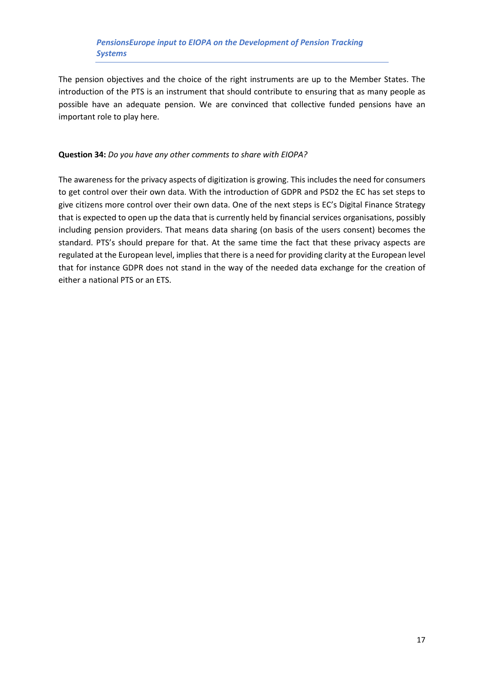The pension objectives and the choice of the right instruments are up to the Member States. The introduction of the PTS is an instrument that should contribute to ensuring that as many people as possible have an adequate pension. We are convinced that collective funded pensions have an important role to play here.

#### **Question 34:** *Do you have any other comments to share with EIOPA?*

The awareness for the privacy aspects of digitization is growing. This includes the need for consumers to get control over their own data. With the introduction of GDPR and PSD2 the EC has set steps to give citizens more control over their own data. One of the next steps is EC's Digital Finance Strategy that is expected to open up the data that is currently held by financial services organisations, possibly including pension providers. That means data sharing (on basis of the users consent) becomes the standard. PTS's should prepare for that. At the same time the fact that these privacy aspects are regulated at the European level, implies that there is a need for providing clarity at the European level that for instance GDPR does not stand in the way of the needed data exchange for the creation of either a national PTS or an ETS.